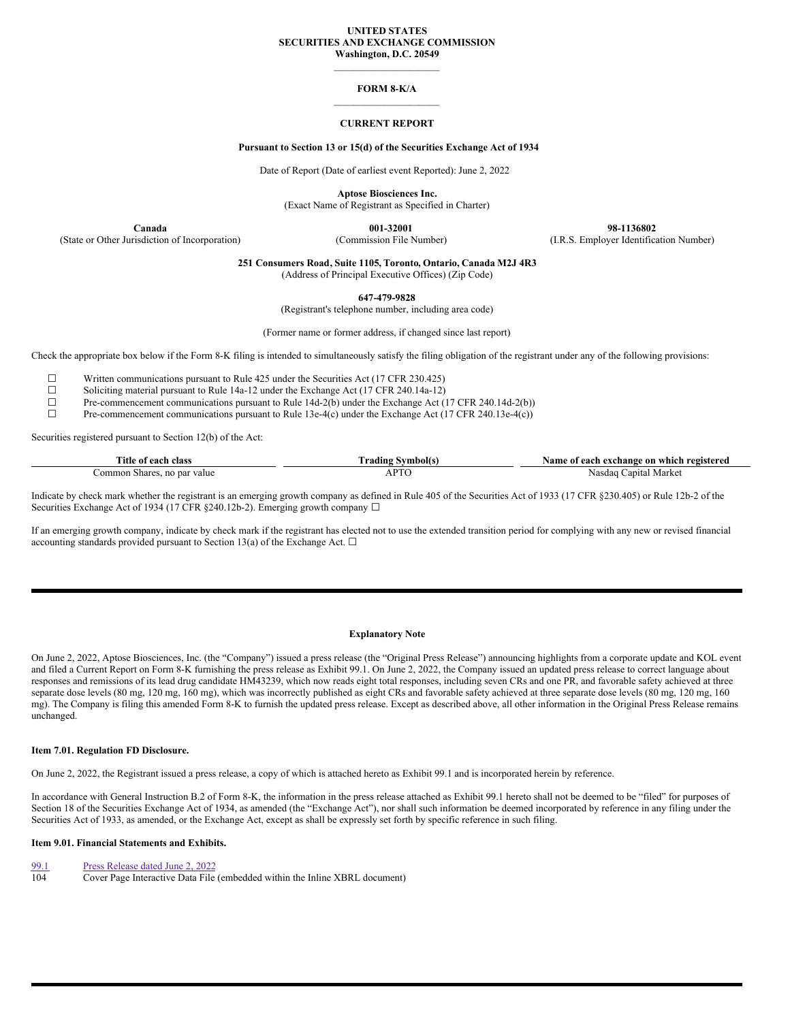#### **UNITED STATES SECURITIES AND EXCHANGE COMMISSION Washington, D.C. 20549**

 $\mathcal{L}=\mathcal{L}^{\mathcal{L}}$  , where  $\mathcal{L}^{\mathcal{L}}$  , we have the set of the set of the set of the set of the set of the set of the set of the set of the set of the set of the set of the set of the set of the set of the set of

#### **FORM 8-K/A**  $\mathcal{L}=\mathcal{L}^{\mathcal{L}}$  , where  $\mathcal{L}^{\mathcal{L}}$  , we have the set of the set of the set of the set of the set of the set of the set of the set of the set of the set of the set of the set of the set of the set of the set of

#### **CURRENT REPORT**

### **Pursuant to Section 13 or 15(d) of the Securities Exchange Act of 1934**

Date of Report (Date of earliest event Reported): June 2, 2022

**Aptose Biosciences Inc.**

(Exact Name of Registrant as Specified in Charter)

**Canada 001-32001 98-1136802** (State or Other Jurisdiction of Incorporation) (Commission File Number) (I.R.S. Employer Identification Number)

**251 Consumers Road, Suite 1105, Toronto, Ontario, Canada M2J 4R3**

(Address of Principal Executive Offices) (Zip Code)

**647-479-9828**

(Registrant's telephone number, including area code)

(Former name or former address, if changed since last report)

Check the appropriate box below if the Form 8-K filing is intended to simultaneously satisfy the filing obligation of the registrant under any of the following provisions:

☐ Written communications pursuant to Rule 425 under the Securities Act (17 CFR 230.425)

<del>□</del> Soliciting material pursuant to Rule 14a-12 under the Exchange Act (17 CFR 240.14a-12)<br>Pre-commencement communications pursuant to Rule 14d-2(b) under the Exchange Act (1

Pre-commencement communications pursuant to Rule 14d-2(b) under the Exchange Act (17 CFR 240.14d-2(b))

☐ Pre-commencement communications pursuant to Rule 13e-4(c) under the Exchange Act (17 CFR 240.13e-4(c))

Securities registered pursuant to Section 12(b) of the Act:

| m.<br>ïtle<br>class<br>.<br>^^^<br>$\Omega$ | $\sim$<br>adıng.                 | registered<br>vame<br>exchange<br>which<br>? on<br>each |
|---------------------------------------------|----------------------------------|---------------------------------------------------------|
| ommor<br>value<br>no<br>.,narec             | <b>DT</b><br>$\overline{1}$<br>ı | Marke<br>-Nasc<br>anıta'<br>.                           |

Indicate by check mark whether the registrant is an emerging growth company as defined in Rule 405 of the Securities Act of 1933 (17 CFR §230.405) or Rule 12b-2 of the Securities Exchange Act of 1934 (17 CFR §240.12b-2). Emerging growth company  $\Box$ 

If an emerging growth company, indicate by check mark if the registrant has elected not to use the extended transition period for complying with any new or revised financial accounting standards provided pursuant to Section 13(a) of the Exchange Act.  $\Box$ 

#### **Explanatory Note**

On June 2, 2022, Aptose Biosciences, Inc. (the "Company") issued a press release (the "Original Press Release") announcing highlights from a corporate update and KOL event and filed a Current Report on Form 8-K furnishing the press release as Exhibit 99.1. On June 2, 2022, the Company issued an updated press release to correct language about responses and remissions of its lead drug candidate HM43239, which now reads eight total responses, including seven CRs and one PR, and favorable safety achieved at three separate dose levels (80 mg, 120 mg, 160 mg), which was incorrectly published as eight CRs and favorable safety achieved at three separate dose levels (80 mg, 120 mg, 160 mg, 160 mg). The Company is filing this amended Form 8-K to furnish the updated press release. Except as described above, all other information in the Original Press Release remains unchanged.

#### **Item 7.01. Regulation FD Disclosure.**

On June 2, 2022, the Registrant issued a press release, a copy of which is attached hereto as Exhibit 99.1 and is incorporated herein by reference.

In accordance with General Instruction B.2 of Form 8-K, the information in the press release attached as Exhibit 99.1 hereto shall not be deemed to be "filed" for purposes of Section 18 of the Securities Exchange Act of 1934, as amended (the "Exchange Act"), nor shall such information be deemed incorporated by reference in any filing under the Securities Act of 1933, as amended, or the Exchange Act, except as shall be expressly set forth by specific reference in such filing.

#### **Item 9.01. Financial Statements and Exhibits.**

[99.1](#page-2-0) Press [Release](#page-2-0) dated June 2, 2022<br>104 Cover Page Interactive Data File

Cover Page Interactive Data File (embedded within the Inline XBRL document)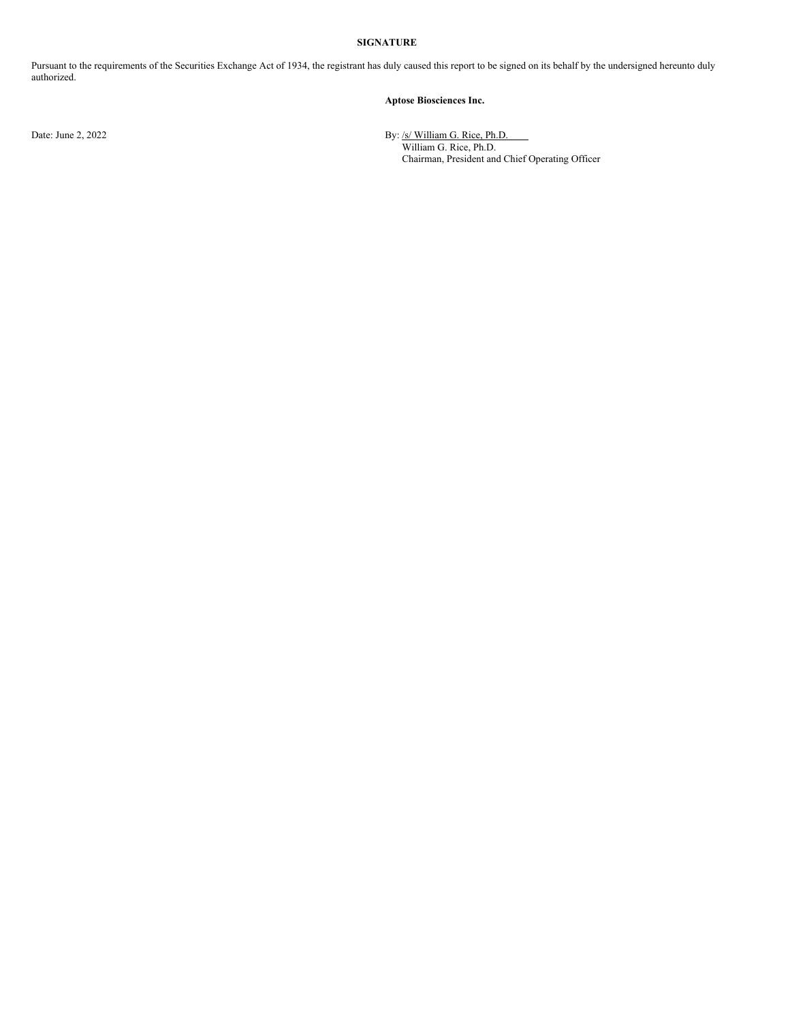### **SIGNATURE**

Pursuant to the requirements of the Securities Exchange Act of 1934, the registrant has duly caused this report to be signed on its behalf by the undersigned hereunto duly authorized.

### **Aptose Biosciences Inc.**

Date: June 2, 2022 **By:** /s/ William G. Rice, Ph.D. William G. Rice, Ph.D. Chairman, President and Chief Operating Officer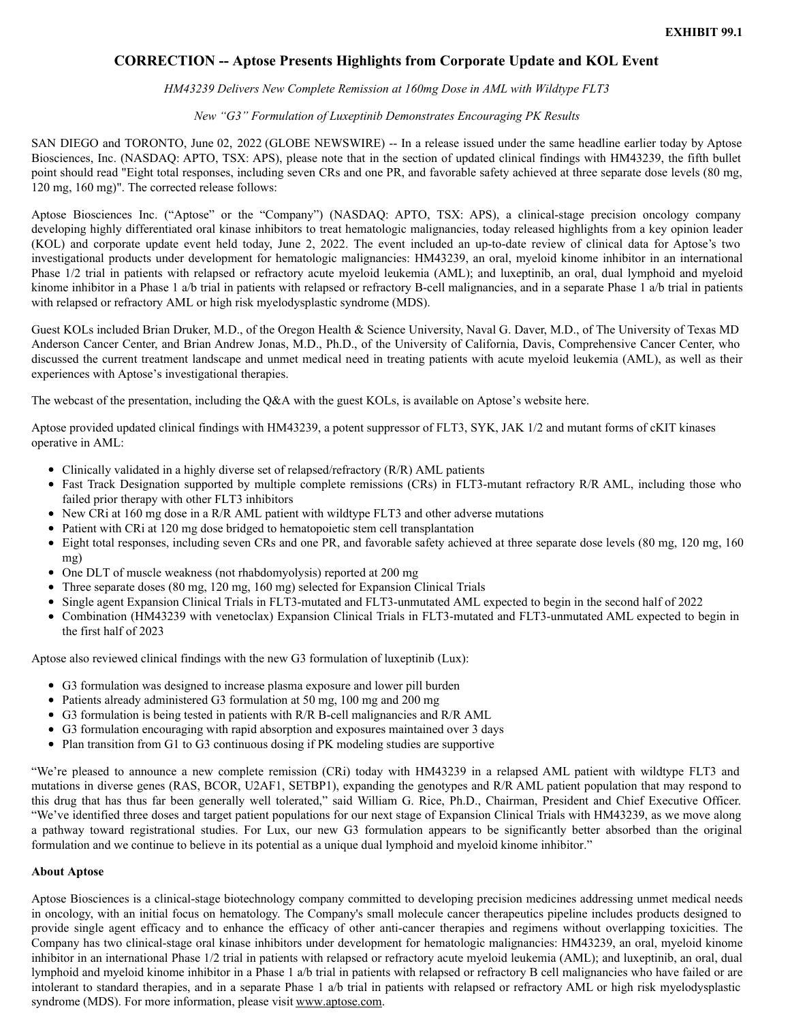# <span id="page-2-0"></span>**CORRECTION -- Aptose Presents Highlights from Corporate Update and KOL Event**

## *HM43239 Delivers New Complete Remission at 160mg Dose in AML with Wildtype FLT3*

## *New "G3" Formulation of Luxeptinib Demonstrates Encouraging PK Results*

SAN DIEGO and TORONTO, June 02, 2022 (GLOBE NEWSWIRE) -- In a release issued under the same headline earlier today by Aptose Biosciences, Inc. (NASDAQ: APTO, TSX: APS), please note that in the section of updated clinical findings with HM43239, the fifth bullet point should read "Eight total responses, including seven CRs and one PR, and favorable safety achieved at three separate dose levels (80 mg, 120 mg, 160 mg)". The corrected release follows:

Aptose Biosciences Inc. ("Aptose" or the "Company") (NASDAQ: APTO, TSX: APS), a clinical-stage precision oncology company developing highly differentiated oral kinase inhibitors to treat hematologic malignancies, today released highlights from a key opinion leader (KOL) and corporate update event held today, June 2, 2022. The event included an up-to-date review of clinical data for Aptose's two investigational products under development for hematologic malignancies: HM43239, an oral, myeloid kinome inhibitor in an international Phase 1/2 trial in patients with relapsed or refractory acute myeloid leukemia (AML); and luxeptinib, an oral, dual lymphoid and myeloid kinome inhibitor in a Phase 1 a/b trial in patients with relapsed or refractory B-cell malignancies, and in a separate Phase 1 a/b trial in patients with relapsed or refractory AML or high risk myelodysplastic syndrome (MDS).

Guest KOLs included Brian Druker, M.D., of the Oregon Health & Science University, Naval G. Daver, M.D., of The University of Texas MD Anderson Cancer Center, and Brian Andrew Jonas, M.D., Ph.D., of the University of California, Davis, Comprehensive Cancer Center, who discussed the current treatment landscape and unmet medical need in treating patients with acute myeloid leukemia (AML), as well as their experiences with Aptose's investigational therapies.

The webcast of the presentation, including the Q&A with the guest KOLs, is available on Aptose's website here.

Aptose provided updated clinical findings with HM43239, a potent suppressor of FLT3, SYK, JAK 1/2 and mutant forms of cKIT kinases operative in AML:

- Clinically validated in a highly diverse set of relapsed/refractory (R/R) AML patients
- Fast Track Designation supported by multiple complete remissions (CRs) in FLT3-mutant refractory R/R AML, including those who failed prior therapy with other FLT3 inhibitors
- New CRi at 160 mg dose in a R/R AML patient with wildtype FLT3 and other adverse mutations
- Patient with CRi at 120 mg dose bridged to hematopoietic stem cell transplantation
- Eight total responses, including seven CRs and one PR, and favorable safety achieved at three separate dose levels (80 mg, 120 mg, 160 mg)
- One DLT of muscle weakness (not rhabdomyolysis) reported at 200 mg
- Three separate doses (80 mg, 120 mg, 160 mg) selected for Expansion Clinical Trials
- Single agent Expansion Clinical Trials in FLT3-mutated and FLT3-unmutated AML expected to begin in the second half of 2022
- Combination (HM43239 with venetoclax) Expansion Clinical Trials in FLT3-mutated and FLT3-unmutated AML expected to begin in the first half of 2023

Aptose also reviewed clinical findings with the new G3 formulation of luxeptinib (Lux):

- G3 formulation was designed to increase plasma exposure and lower pill burden
- Patients already administered G3 formulation at 50 mg, 100 mg and 200 mg
- G3 formulation is being tested in patients with R/R B-cell malignancies and R/R AML
- G3 formulation encouraging with rapid absorption and exposures maintained over 3 days
- Plan transition from G1 to G3 continuous dosing if PK modeling studies are supportive

"We're pleased to announce a new complete remission (CRi) today with HM43239 in a relapsed AML patient with wildtype FLT3 and mutations in diverse genes (RAS, BCOR, U2AF1, SETBP1), expanding the genotypes and R/R AML patient population that may respond to this drug that has thus far been generally well tolerated," said William G. Rice, Ph.D., Chairman, President and Chief Executive Officer. "We've identified three doses and target patient populations for our next stage of Expansion Clinical Trials with HM43239, as we move along a pathway toward registrational studies. For Lux, our new G3 formulation appears to be significantly better absorbed than the original formulation and we continue to believe in its potential as a unique dual lymphoid and myeloid kinome inhibitor."

### **About Aptose**

Aptose Biosciences is a clinical-stage biotechnology company committed to developing precision medicines addressing unmet medical needs in oncology, with an initial focus on hematology. The Company's small molecule cancer therapeutics pipeline includes products designed to provide single agent efficacy and to enhance the efficacy of other anti-cancer therapies and regimens without overlapping toxicities. The Company has two clinical-stage oral kinase inhibitors under development for hematologic malignancies: HM43239, an oral, myeloid kinome inhibitor in an international Phase 1/2 trial in patients with relapsed or refractory acute myeloid leukemia (AML); and luxeptinib, an oral, dual lymphoid and myeloid kinome inhibitor in a Phase 1 a/b trial in patients with relapsed or refractory B cell malignancies who have failed or are intolerant to standard therapies, and in a separate Phase 1 a/b trial in patients with relapsed or refractory AML or high risk myelodysplastic syndrome (MDS). For more information, please visit www.aptose.com.